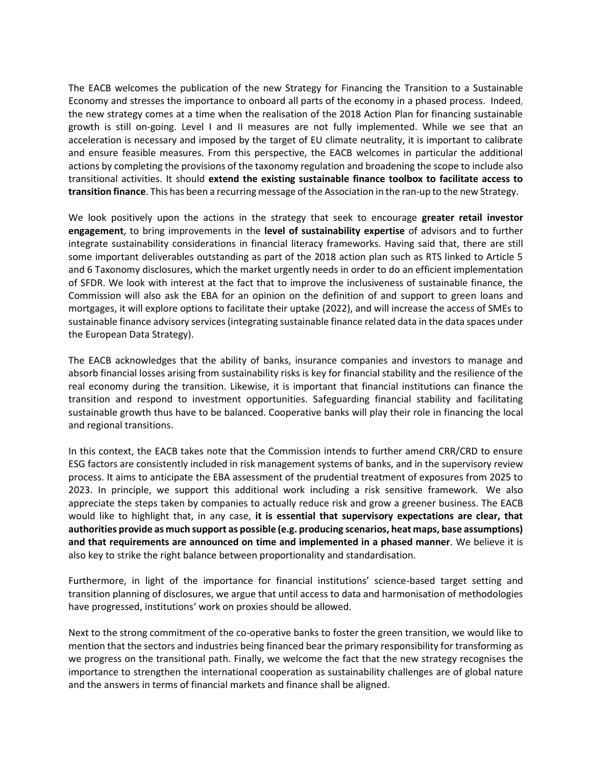The EACB welcomes the publication of the new Strategy for Financing the Transition to a Sustainable Economy and stresses the importance to onboard all parts of the economy in a phased process. Indeed, the new strategy comes at a time when the realisation of the 2018 Action Plan for financing sustainable growth is still on-going. Level I and II measures are not fully implemented. While we see that an acceleration is necessary and imposed by the target of EU climate neutrality, it is important to calibrate and ensure feasible measures. From this perspective, the EACB welcomes in particular the additional actions by completing the provisions of the taxonomy regulation and broadening the scope to include also transitional activities. It should **extend the existing sustainable finance toolbox to facilitate access to transition finance**. This has been a recurring message of the Association in the ran-up to the new Strategy.

We look positively upon the actions in the strategy that seek to encourage **greater retail investor engagement**, to bring improvements in the **level of sustainability expertise** of advisors and to further integrate sustainability considerations in financial literacy frameworks. Having said that, there are still some important deliverables outstanding as part of the 2018 action plan such as RTS linked to Article 5 and 6 Taxonomy disclosures, which the market urgently needs in order to do an efficient implementation of SFDR. We look with interest at the fact that to improve the inclusiveness of sustainable finance, the Commission will also ask the EBA for an opinion on the definition of and support to green loans and mortgages, it will explore options to facilitate their uptake (2022), and will increase the access of SMEs to sustainable finance advisory services (integrating sustainable finance related data in the data spaces under the European Data Strategy).

The EACB acknowledges that the ability of banks, insurance companies and investors to manage and absorb financial losses arising from sustainability risks is key for financial stability and the resilience of the real economy during the transition. Likewise, it is important that financial institutions can finance the transition and respond to investment opportunities. Safeguarding financial stability and facilitating sustainable growth thus have to be balanced. Cooperative banks will play their role in financing the local and regional transitions.

In this context, the EACB takes note that the Commission intends to further amend CRR/CRD to ensure ESG factors are consistently included in risk management systems of banks, and in the supervisory review process. It aims to anticipate the EBA assessment of the prudential treatment of exposures from 2025 to 2023. In principle, we support this additional work including a risk sensitive framework. We also appreciate the steps taken by companies to actually reduce risk and grow a greener business. The EACB would like to highlight that, in any case, **it is essential that supervisory expectations are clear, that authorities provide as much support as possible (e.g. producing scenarios, heat maps, base assumptions) and that requirements are announced on time and implemented in a phased manner**. We believe it is also key to strike the right balance between proportionality and standardisation.

Furthermore, in light of the importance for financial institutions' science-based target setting and transition planning of disclosures, we argue that until access to data and harmonisation of methodologies have progressed, institutions' work on proxies should be allowed.

Next to the strong commitment of the co-operative banks to foster the green transition, we would like to mention that the sectors and industries being financed bear the primary responsibility for transforming as we progress on the transitional path. Finally, we welcome the fact that the new strategy recognises the importance to strengthen the international cooperation as sustainability challenges are of global nature and the answers in terms of financial markets and finance shall be aligned.